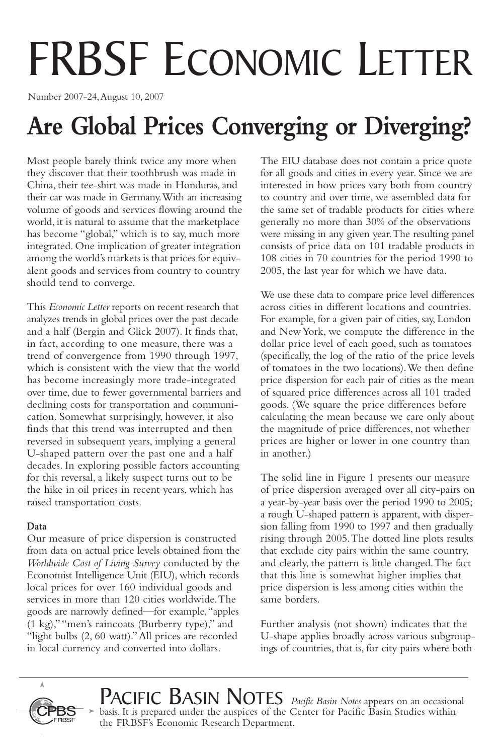# FRBSF ECONOMIC LETTER

Number 2007-24,August 10, 2007

## **Are Global Prices Converging or Diverging?**

Most people barely think twice any more when they discover that their toothbrush was made in China, their tee-shirt was made in Honduras, and their car was made in Germany.With an increasing volume of goods and services flowing around the world, it is natural to assume that the marketplace has become "global," which is to say, much more integrated. One implication of greater integration among the world's markets is that prices for equivalent goods and services from country to country should tend to converge.

This *Economic Letter* reports on recent research that analyzes trends in global prices over the past decade and a half (Bergin and Glick 2007). It finds that, in fact, according to one measure, there was a trend of convergence from 1990 through 1997, which is consistent with the view that the world has become increasingly more trade-integrated over time, due to fewer governmental barriers and declining costs for transportation and communication. Somewhat surprisingly, however, it also finds that this trend was interrupted and then reversed in subsequent years, implying a general U-shaped pattern over the past one and a half decades. In exploring possible factors accounting for this reversal, a likely suspect turns out to be the hike in oil prices in recent years, which has raised transportation costs.

#### **Data**

Our measure of price dispersion is constructed from data on actual price levels obtained from the *Worldwide Cost of Living Survey* conducted by the Economist Intelligence Unit (EIU), which records local prices for over 160 individual goods and services in more than 120 cities worldwide.The goods are narrowly defined—for example,"apples (1 kg),""men's raincoats (Burberry type)," and "light bulbs  $(2, 60 \text{ watt})$ ." All prices are recorded in local currency and converted into dollars.

The EIU database does not contain a price quote for all goods and cities in every year. Since we are interested in how prices vary both from country to country and over time, we assembled data for the same set of tradable products for cities where generally no more than 30% of the observations were missing in any given year.The resulting panel consists of price data on 101 tradable products in 108 cities in 70 countries for the period 1990 to 2005, the last year for which we have data.

We use these data to compare price level differences across cities in different locations and countries. For example, for a given pair of cities, say, London and New York, we compute the difference in the dollar price level of each good, such as tomatoes (specifically, the log of the ratio of the price levels of tomatoes in the two locations).We then define price dispersion for each pair of cities as the mean of squared price differences across all 101 traded goods. (We square the price differences before calculating the mean because we care only about the magnitude of price differences, not whether prices are higher or lower in one country than in another.)

The solid line in Figure 1 presents our measure of price dispersion averaged over all city-pairs on a year-by-year basis over the period 1990 to 2005; a rough U-shaped pattern is apparent, with dispersion falling from 1990 to 1997 and then gradually rising through 2005.The dotted line plots results that exclude city pairs within the same country, and clearly, the pattern is little changed.The fact that this line is somewhat higher implies that price dispersion is less among cities within the same borders.

Further analysis (not shown) indicates that the U-shape applies broadly across various subgroupings of countries, that is, for city pairs where both



PACIFIC BASIN NOTES *Pacific Basin Notes* appears on an occasional basis. It is prepared under the auspices of the Center for Pacific Basin Studies within the FRBSF's Economic Research Department.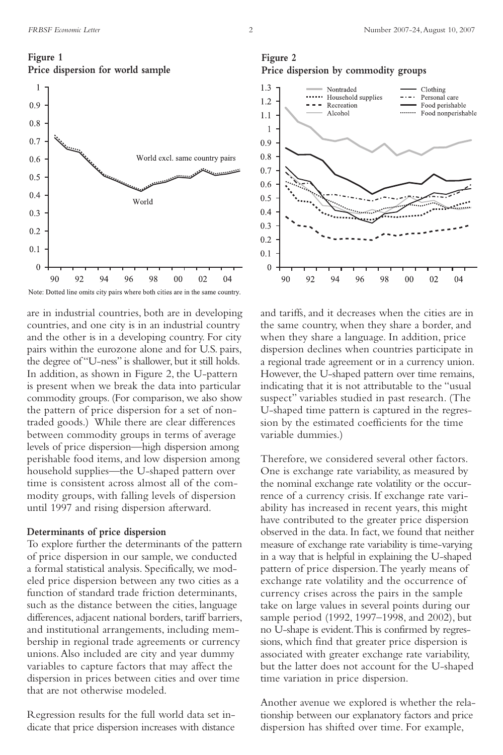**Figure 1** 



are in industrial countries, both are in developing countries, and one city is in an industrial country and the other is in a developing country. For city pairs within the eurozone alone and for U.S. pairs, the degree of "U-ness" is shallower, but it still holds. In addition, as shown in Figure 2, the U-pattern is present when we break the data into particular commodity groups. (For comparison, we also show the pattern of price dispersion for a set of nontraded goods.) While there are clear differences between commodity groups in terms of average levels of price dispersion—high dispersion among perishable food items, and low dispersion among household supplies—the U-shaped pattern over time is consistent across almost all of the commodity groups, with falling levels of dispersion until 1997 and rising dispersion afterward.

#### **Determinants of price dispersion**

To explore further the determinants of the pattern of price dispersion in our sample, we conducted a formal statistical analysis. Specifically, we modeled price dispersion between any two cities as a function of standard trade friction determinants, such as the distance between the cities, language differences, adjacent national borders, tariff barriers, and institutional arrangements, including membership in regional trade agreements or currency unions.Also included are city and year dummy variables to capture factors that may affect the dispersion in prices between cities and over time that are not otherwise modeled.

Regression results for the full world data set indicate that price dispersion increases with distance





and tariffs, and it decreases when the cities are in the same country, when they share a border, and when they share a language. In addition, price dispersion declines when countries participate in a regional trade agreement or in a currency union. However, the U-shaped pattern over time remains, indicating that it is not attributable to the "usual suspect" variables studied in past research. (The U-shaped time pattern is captured in the regression by the estimated coefficients for the time variable dummies.)

Therefore, we considered several other factors. One is exchange rate variability, as measured by the nominal exchange rate volatility or the occurrence of a currency crisis. If exchange rate variability has increased in recent years, this might have contributed to the greater price dispersion observed in the data. In fact, we found that neither measure of exchange rate variability is time-varying in a way that is helpful in explaining the U-shaped pattern of price dispersion.The yearly means of exchange rate volatility and the occurrence of currency crises across the pairs in the sample take on large values in several points during our sample period (1992, 1997–1998, and 2002), but no U-shape is evident.This is confirmed by regressions, which find that greater price dispersion is associated with greater exchange rate variability, but the latter does not account for the U-shaped time variation in price dispersion.

Another avenue we explored is whether the relationship between our explanatory factors and price dispersion has shifted over time. For example,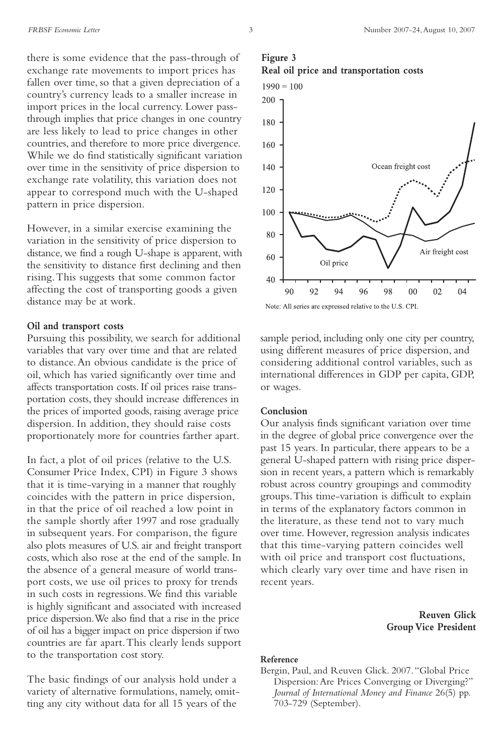there is some evidence that the pass-through of exchange rate movements to import prices has fallen over time, so that a given depreciation of a country's currency leads to a smaller increase in import prices in the local currency. Lower passthrough implies that price changes in one country are less likely to lead to price changes in other countries, and therefore to more price divergence. While we do find statistically significant variation over time in the sensitivity of price dispersion to exchange rate volatility, this variation does not appear to correspond much with the U-shaped pattern in price dispersion.

However, in a similar exercise examining the variation in the sensitivity of price dispersion to distance, we find a rough U-shape is apparent, with the sensitivity to distance first declining and then rising.This suggests that some common factor affecting the cost of transporting goods a given distance may be at work.

#### **Oil and transport costs**

Pursuing this possibility, we search for additional variables that vary over time and that are related to distance.An obvious candidate is the price of oil, which has varied significantly over time and affects transportation costs. If oil prices raise transportation costs, they should increase differences in the prices of imported goods, raising average price dispersion. In addition, they should raise costs proportionately more for countries farther apart.

In fact, a plot of oil prices (relative to the U.S. Consumer Price Index, CPI) in Figure 3 shows that it is time-varying in a manner that roughly coincides with the pattern in price dispersion, in that the price of oil reached a low point in the sample shortly after 1997 and rose gradually in subsequent years. For comparison, the figure also plots measures of U.S. air and freight transport costs, which also rose at the end of the sample. In the absence of a general measure of world transport costs, we use oil prices to proxy for trends in such costs in regressions.We find this variable is highly significant and associated with increased price dispersion.We also find that a rise in the price of oil has a bigger impact on price dispersion if two countries are far apart.This clearly lends support to the transportation cost story.

The basic findings of our analysis hold under a variety of alternative formulations, namely, omitting any city without data for all 15 years of the

#### **Figure 3 Real oil price and transportation costs**



Note: All series are expressed relative to the U.S. CPI.

sample period, including only one city per country, using different measures of price dispersion, and considering additional control variables, such as international differences in GDP per capita, GDP, or wages.

#### **Conclusion**

Our analysis finds significant variation over time in the degree of global price convergence over the past 15 years. In particular, there appears to be a general U-shaped pattern with rising price dispersion in recent years, a pattern which is remarkably robust across country groupings and commodity groups.This time-variation is difficult to explain in terms of the explanatory factors common in the literature, as these tend not to vary much over time. However, regression analysis indicates that this time-varying pattern coincides well with oil price and transport cost fluctuations, which clearly vary over time and have risen in recent years.

> **Reuven Glick Group Vice President**

#### **Reference**

Bergin, Paul, and Reuven Glick. 2007."Global Price Dispersion:Are Prices Converging or Diverging?" *Journal of International Money and Finance* 26(5) pp. 703-729 (September).